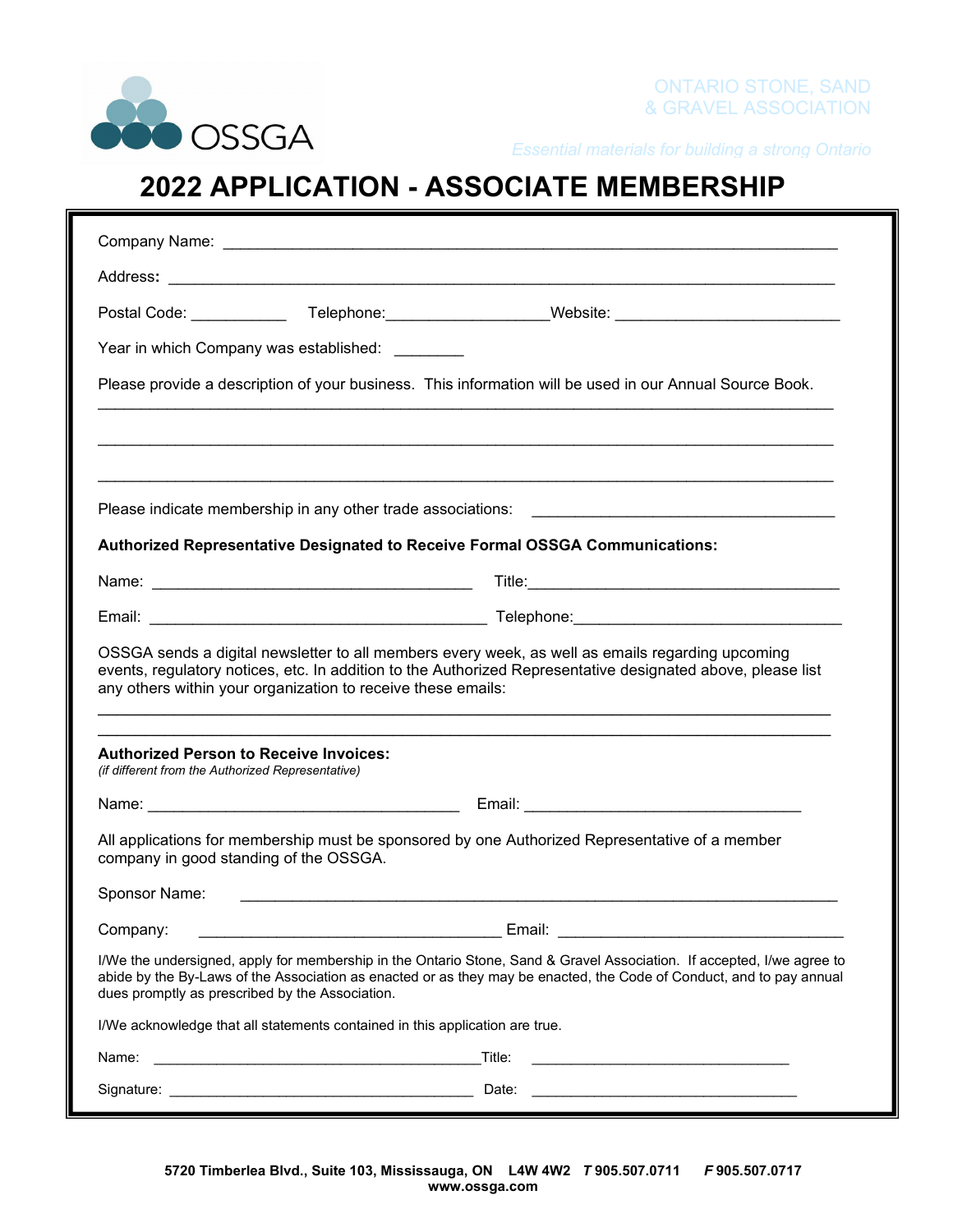

*Essential materials for building a strong Ontario*

## **2022 APPLICATION - ASSOCIATE MEMBERSHIP**

| Year in which Company was established: ________                                                    |                                                                                                                                                                                                                                                |
|----------------------------------------------------------------------------------------------------|------------------------------------------------------------------------------------------------------------------------------------------------------------------------------------------------------------------------------------------------|
|                                                                                                    | Please provide a description of your business. This information will be used in our Annual Source Book.                                                                                                                                        |
|                                                                                                    |                                                                                                                                                                                                                                                |
|                                                                                                    |                                                                                                                                                                                                                                                |
|                                                                                                    |                                                                                                                                                                                                                                                |
|                                                                                                    | Authorized Representative Designated to Receive Formal OSSGA Communications:                                                                                                                                                                   |
|                                                                                                    |                                                                                                                                                                                                                                                |
|                                                                                                    |                                                                                                                                                                                                                                                |
| any others within your organization to receive these emails:                                       | OSSGA sends a digital newsletter to all members every week, as well as emails regarding upcoming<br>events, regulatory notices, etc. In addition to the Authorized Representative designated above, please list                                |
| <b>Authorized Person to Receive Invoices:</b><br>(if different from the Authorized Representative) |                                                                                                                                                                                                                                                |
|                                                                                                    |                                                                                                                                                                                                                                                |
| company in good standing of the OSSGA.                                                             | All applications for membership must be sponsored by one Authorized Representative of a member                                                                                                                                                 |
| Sponsor Name:                                                                                      |                                                                                                                                                                                                                                                |
| Company:                                                                                           | Email:                                                                                                                                                                                                                                         |
| dues promptly as prescribed by the Association.                                                    | I/We the undersigned, apply for membership in the Ontario Stone, Sand & Gravel Association. If accepted, I/we agree to<br>abide by the By-Laws of the Association as enacted or as they may be enacted, the Code of Conduct, and to pay annual |
| I/We acknowledge that all statements contained in this application are true.                       |                                                                                                                                                                                                                                                |
| Name:                                                                                              | Title:<br><u> 1989 - Johann Stoff, amerikansk politiker (d. 1989)</u>                                                                                                                                                                          |
|                                                                                                    |                                                                                                                                                                                                                                                |